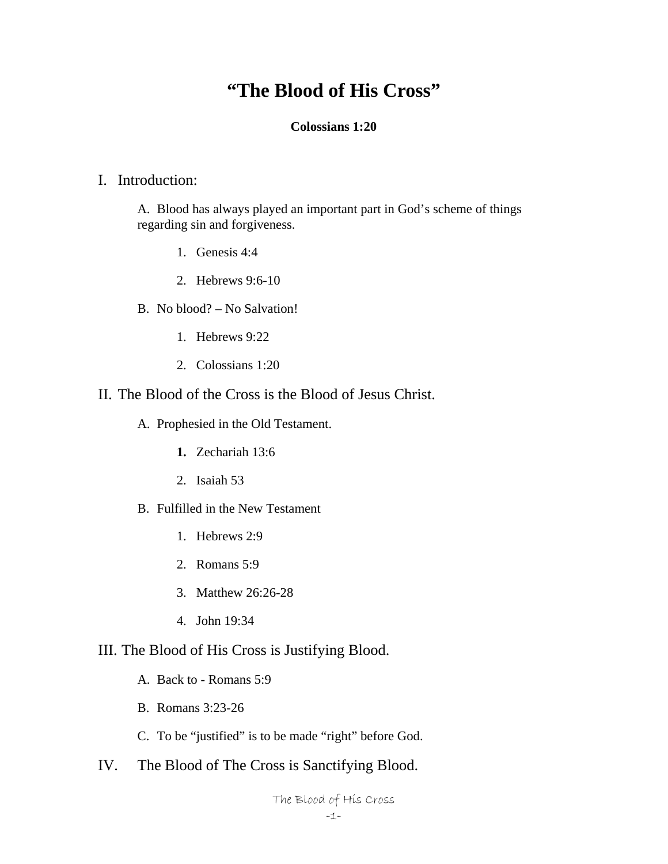# **"The Blood of His Cross"**

### **Colossians 1:20**

### I. Introduction:

A. Blood has always played an important part in God's scheme of things regarding sin and forgiveness.

- 1. Genesis 4:4
- 2. Hebrews 9:6-10
- B. No blood? No Salvation!
	- 1. Hebrews 9:22
	- 2. Colossians 1:20

# II. The Blood of the Cross is the Blood of Jesus Christ.

- A. Prophesied in the Old Testament.
	- **1.** Zechariah 13:6
	- 2. Isaiah 53
- B. Fulfilled in the New Testament
	- 1. Hebrews 2:9
	- 2. Romans 5:9
	- 3. Matthew 26:26-28
	- 4. John 19:34

# III. The Blood of His Cross is Justifying Blood.

- A. Back to Romans 5:9
- B. Romans 3:23-26
- C. To be "justified" is to be made "right" before God.
- IV. The Blood of The Cross is Sanctifying Blood.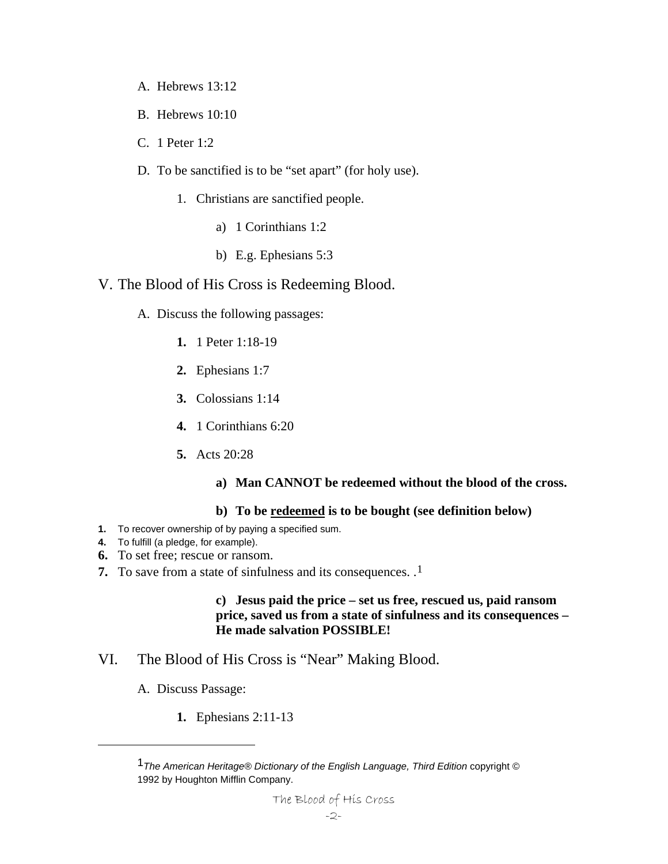- A. Hebrews 13:12
- B. Hebrews 10:10
- C. 1 Peter 1:2
- D. To be sanctified is to be "set apart" (for holy use).
	- 1. Christians are sanctified people.
		- a) 1 Corinthians 1:2
		- b) E.g. Ephesians 5:3

# V. The Blood of His Cross is Redeeming Blood.

- A. Discuss the following passages:
	- **1.** 1 Peter 1:18-19
	- **2.** Ephesians 1:7
	- **3.** Colossians 1:14
	- **4.** 1 Corinthians 6:20
	- **5.** Acts 20:28
		- **a) Man CANNOT be redeemed without the blood of the cross.**

#### **b) To be redeemed is to be bought (see definition below)**

- **1.** To recover ownership of by paying a specified sum.
- **4.** To fulfill (a pledge, for example).
- **6.** To set free; rescue or ransom.
- **7.** To save from a state of sinfulness and its consequences. .[1](#page-1-0)

**c) Jesus paid the price – set us free, rescued us, paid ransom price, saved us from a state of sinfulness and its consequences – He made salvation POSSIBLE!** 

- VI. The Blood of His Cross is "Near" Making Blood.
	- A. Discuss Passage:

<span id="page-1-0"></span>1

**1.** Ephesians 2:11-13

<sup>1</sup>*The American Heritage® Dictionary of the English Language, Third Edition* copyright © 1992 by Houghton Mifflin Company.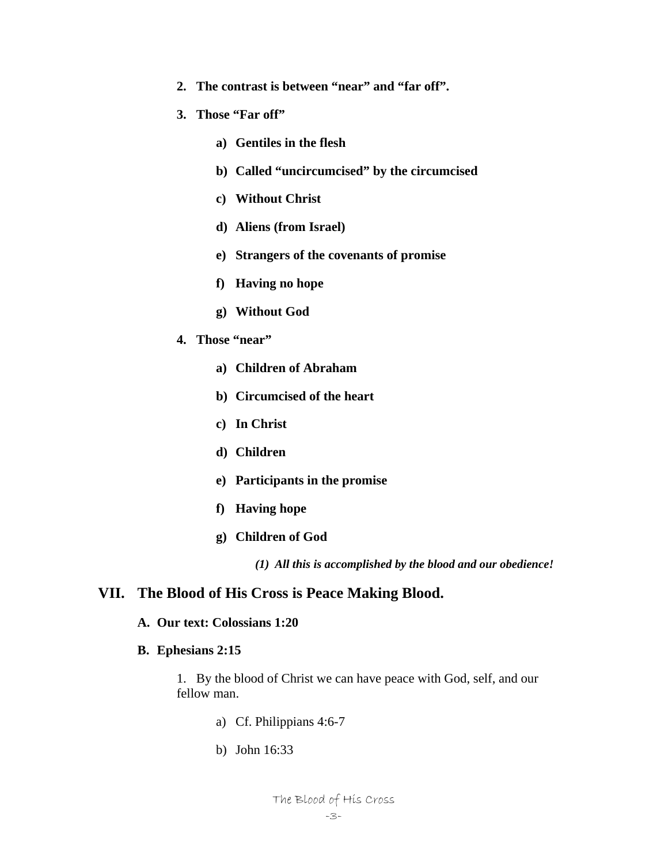- **2. The contrast is between "near" and "far off".**
- **3. Those "Far off"** 
	- **a) Gentiles in the flesh**
	- **b) Called "uncircumcised" by the circumcised**
	- **c) Without Christ**
	- **d) Aliens (from Israel)**
	- **e) Strangers of the covenants of promise**
	- **f) Having no hope**
	- **g) Without God**
- **4. Those "near"** 
	- **a) Children of Abraham**
	- **b) Circumcised of the heart**
	- **c) In Christ**
	- **d) Children**
	- **e) Participants in the promise**
	- **f) Having hope**
	- **g) Children of God**

*(1) All this is accomplished by the blood and our obedience!* 

### **VII. The Blood of His Cross is Peace Making Blood.**

#### **A. Our text: Colossians 1:20**

**B. Ephesians 2:15** 

1. By the blood of Christ we can have peace with God, self, and our fellow man.

- a) Cf. Philippians 4:6-7
- b) John 16:33